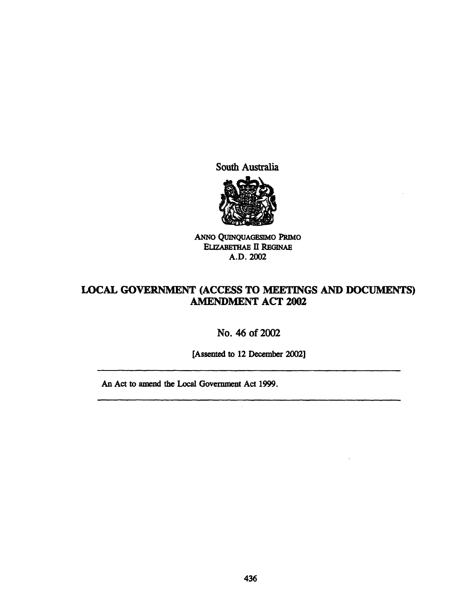South Australia



ANNo QVlNQUAGESIMO PRIMo ELIZABETHAE II REGINAE A.D.2002

## LOCAL GOVERNMENT (ACCESS TO MEETINGS AND DOCUMENTS) AMENDMENT ACT 2002

No. 46 of 2002

[Assented to 12 December 2002]

 $\mathcal{L}$ 

An Act to amend the Local Government Act 1999.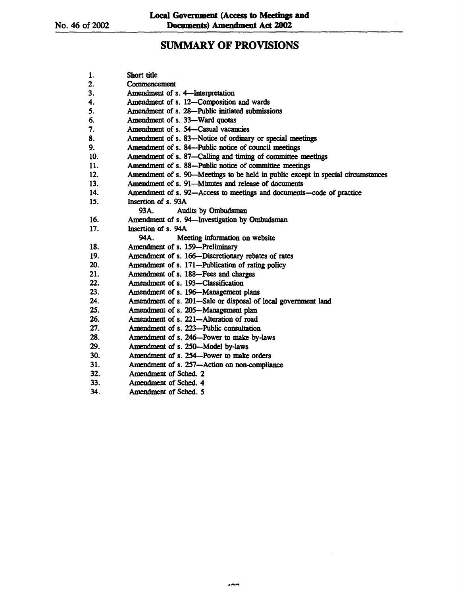# SUMMARY OF PROVISIONS

| 1.  | Short title                                                                      |
|-----|----------------------------------------------------------------------------------|
| 2.  | Commencement                                                                     |
| 3.  | Amendment of s. 4-Interpretation                                                 |
| 4.  | Amendment of s. 12-Composition and wards                                         |
| 5.  | Amendment of s. 28-Public initiated submissions                                  |
| 6.  | Amendment of s. 33—Ward quotas                                                   |
| 7.  | Amendment of s. 54-Casual vacancies                                              |
| 8.  | Amendment of s. 83-Notice of ordinary or special meetings                        |
| 9.  | Amendment of s. 84—Public notice of council meetings                             |
| 10. | Amendment of s. 87—Calling and timing of committee meetings                      |
| 11. | Amendment of s. 88-Public notice of committee meetings                           |
| 12. | Amendment of s. 90—Meetings to be held in public except in special circumstances |
| 13. | Amendment of s. 91-Minutes and release of documents                              |
| 14. | Amendment of s. 92-Access to meetings and documents-code of practice             |
| 15. | Insertion of s. 93A                                                              |
|     | 93A.<br>Audits by Ombudsman                                                      |
| 16. | Amendment of s. 94-Investigation by Ombudsman                                    |
| 17. | Insertion of s. 94A                                                              |
|     | 94A.<br>Meeting information on website                                           |
| 18. | Amendment of s. 159-Preliminary                                                  |
| 19. | Amendment of s. 166-Discretionary rebates of rates                               |
| 20. | Amendment of s. 171-Publication of rating policy                                 |
| 21. | Amendment of s. 188-Fees and charges                                             |
| 22. | Amendment of s. 193-Classification                                               |
| 23. | Amendment of s. 196-Management plans                                             |
| 24. | Amendment of s. 201-Sale or disposal of local government land                    |
| 25. | Amendment of s. 205-Management plan                                              |
| 26. | Amendment of s. 221-Alteration of road                                           |
| 27. | Amendment of s. 223-Public consultation                                          |
| 28. | Amendment of s. 246-Power to make by-laws                                        |
| 29. | Amendment of s. 250-Model by-laws                                                |
| 30. | Amendment of s. 254-Power to make orders                                         |
| 31. | Amendment of s. 257-Action on non-compliance                                     |
| 32. | Amendment of Sched. 2                                                            |
| 33. | Amendment of Sched, 4                                                            |
| 34. | Amendment of Sched. 5                                                            |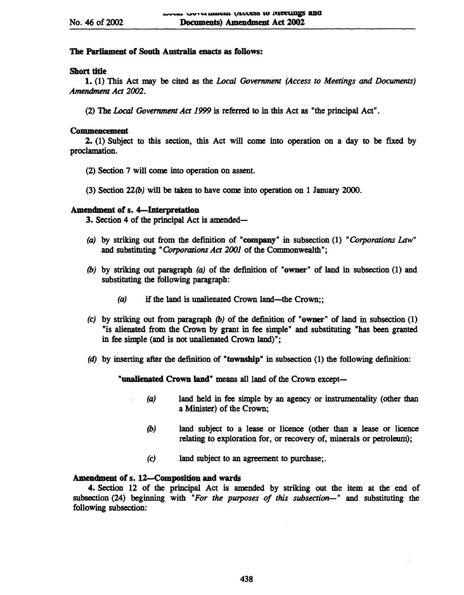## The Parliament of South Australia enacts as follows:

## Short tide

1.·(1) This Act may be cited as the *Local Government (Access to Meetings* and *Documents) Amendment Act 2002.* 

(2) The *Local Government Act* 1999 is referred to in this Act as "the principal Act" .

## Commencement

2. (1) Subject to this section, this Act will come into operation on a day to be fixed by proclamation.

- (2) Section 7 will come into operation on assent.
- (3) Section  $22(b)$  will be taken to have come into operation on 1 January 2000.

## Amendment of s. 4-Interpretation

3. Section 4 of the principal Act is amended-

- (a) by striking out from the definition of "company" in subsection  $(1)$  "Corporations Law" and substituting "Corporations *Act* 2001 of the Commonwealth";
- (b) by striking out paragraph (a) of the definition of "owner" of land in subsection  $(1)$  and substituting the following paragraph:
	- (a) if the land is unalienated Crown land—the Crown;;
- (c) by striking out from paragraph  $(b)$  of the definition of "owner" of land in subsection (1) "is alienated from the Crown by grant in fee simple" and substituting "has been granted in fee simple (and is not unalienated Crown land)";
- (d) by inserting after the definition of "township" in subsection (1) the following definition:

"unalienated Crown land" means all land of the Crown except-

- (a) land held in fee simple by an agency or instrumentality (other than a Minister) of the Crown;
	- (b) land subject to a lease or licence (other than a lease or licence relating to exploration for, or recovery of, minerals or petroleum);
	- (c) land subject to an agreement to purchase;.

## Amendment of s. 12-Composition and wards

4. Section 12 of the principal Act is amended by striking out the item at the end of subsection (24) beginning with *"For the purposes of this subsection-"* and substituting the following subsection: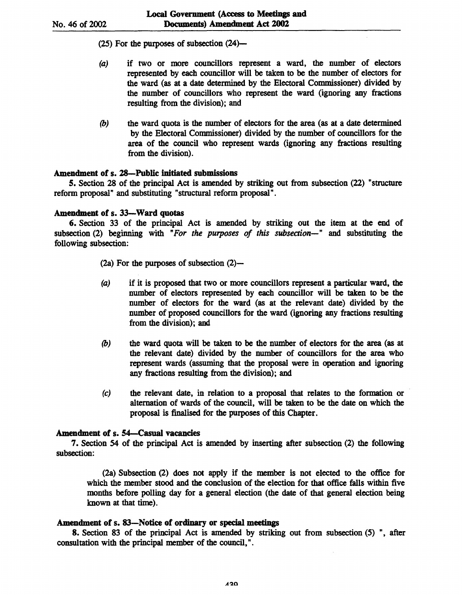$(25)$  For the purposes of subsection  $(24)$ -

- (a) if two or more councillors represent a ward, the number of electors represented by each councillor will be taken to be the number of electors for the ward (as at a date determined by the Electoral Commissioner) divided by the number of councillors who represent the ward (ignoring any fractions resulting from the division); and
- (b) the ward quota is the number of electors for the area (as at a date determined by the Electoral Commissioner) divided by the number of councillors for the area of the council who represent wards (ignoring any fractions resulting from the division).

## Amendment of s. 28-Public initiated submissions

5. Section 28 of the principal Act is amended by striking out from subsection (22) "structure reform proposal" and substituting "structural reform proposal".

## Amendment of s. 33-Ward quotas

6. Section 33 of the principal Act is amended by striking out the item at the end of subsection (2) beginning with "*For the purposes of this subsection*-" and substituting the following subsection:

 $(2a)$  For the purposes of subsection  $(2)$ -

- (a) if it is proposed that two or more councillors represent a particular ward, the number of electors represented by each councillor will be taken to be the number of electors for the ward (as at the relevant date) divided by the number of proposed councillors for the ward (ignoring any fractions resulting from the division); and
- (b) the ward quota will be taken to be the number of electors for the area (as at the relevant date) divided by the number of councillors for the area who represent wards (assuming that the proposal were in operation and ignoring any fractions resulting from the division); and
- (c) the relevant date, in relation to a proposal that relates to the formation or alternation of wards of the council, will be taken to be the date on which the proposal is finalised for the purposes of this Chapter.

## Amendment of s. 54-Casual vacancies

7. Section 54 of the principal Act is amended by inserting after subsection (2) the following subsection:

(2a) Subsection (2) does not apply if the member is not elected to the office for which the member stood and the conclusion of the election for that office falls within five months before polling day for a general election (the date of that general election being known at that time).

### Amendment of s. 83-Notice of ordinary or special meetings

8. Section 83 of the principal Act is amended by striking out from subsection  $(5)$ ", after consultation with the principal member of the council," .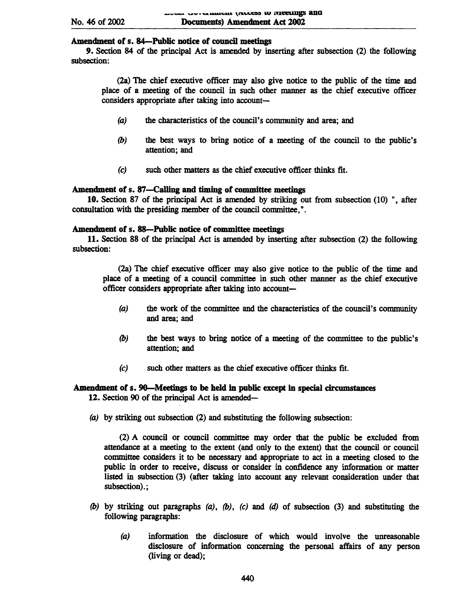## Amendment of s. 84-Public notice of council meetings

9. Section 84 of the principal Act is amended by inserting after subsection (2) the following subsection:

(2a) The chief executive officer may also give notice to the public of the time and place of a meeting of the council in such other manner as the chief executive officer considers appropriate after taking into account-

- (a) the characteristics of the council's community and area; and
- (b) the best ways to bring notice of a meeting of the council to the public's attention; and
- (e) such other matters as the chief executive officer thinks fit.

## Amendment of s. 87—Calling and timing of committee meetings

10. Section 87 of the principal Act is amended by striking out from subsection (10) ", after consultation with the presiding member of the council committee,".

## Amendment of s. 88-Public notice of committee meetings

11. Section 88 of the principal Act is amended by inserting after subsection (2) the following subsection:

(2a) The chief executive officer may also give notice to the public of the time and place of a meeting of a council committee in such other manner as the chief executive officer considers appropriate after taking into account-

- $(a)$  the work of the committee and the characteristics of the council's community and area; and
- (b) the best ways to bring notice of a meeting of the committee to the public's attention; and
- (e) such other matters as the chief executive officer thinks fit.

## Amendment of s. 9O-Meetings to be held in public except in special circumstances 12. Section 90 of the principal Act is amended-

(a) by striking out subsection (2) and substituting the following subsection:

(2) A council or council committee may order that the public be excluded from attendance at a meeting to the extent (and only to the extent) that the council or council committee considers it to be necessary and appropriate to act in a meeting closed to the public in order to receive, discuss or consider in confidence any information or matter listed in subsection (3) (after taking into account any relevant consideration under that subsection).;

- (b) by striking out paragraphs  $(a)$ ,  $(b)$ ,  $(c)$  and  $(d)$  of subsection  $(3)$  and substituting the following paragraphs:
	- (a) information the disclosure of which would involve the unreasonable disclosure of information concerning the personal affairs of any person (living or dead);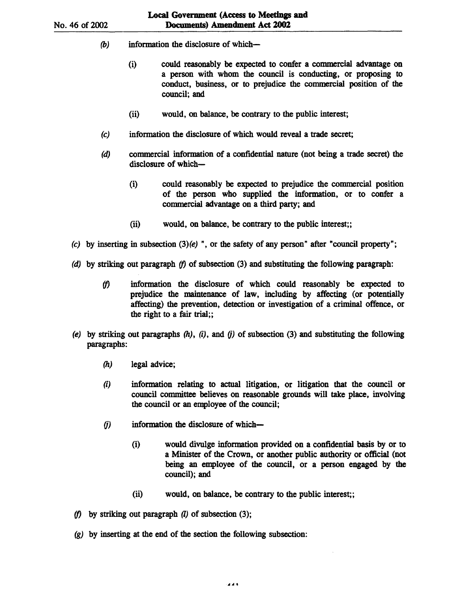- (b) information the disclosure of which $-$ 
	- (i) could reasonably be expected to confer a commercial advantage on a person with whom the council is conducting, or proposing to conduct, business, or to prejudice the commercial position of the council; and
	- (ii) would, on balance, be contrary to the public interest;
- (c) information the disclosure of which would reveal a trade secret;
- (d) commercial information of a confidential nature (not being a trade secret) the disclosure of which-
	- (i) could reasonably be expected to prejudice the commercial position of the person who supplied the information, or to confer a commercial advantage on a third party; and
	- (ii) would, on balance, be contrary to the public interest;;
- (c) by inserting in subsection  $(3)(e)$ ", or the safety of any person" after "council property";
- (d) by striking out paragraph *(f)* of subsection (3) and substituting the following paragraph:
	- *(f)* information the disclosure of which could reasonably be expected to prejudice the maintenance of law, including by affecting (or potentially affecting) the prevention, detection or investigation of a criminal offence, or the right to a fair trial;;
- (e) by striking out paragraphs  $(h)$ ,  $(i)$ , and  $(j)$  of subsection (3) and substituting the following paragraphs:
	- (h) legal advice;
	- (i) information relating to actual litigation, or litigation that the council or council committee believes on reasonable grounds will take place, involving the council or an employee of the council;
	- $(j)$  information the disclosure of which-
		- (i) would divulge information provided on a confidential basis by or to a Minister of the Crown, or another public authority or official (not being an employee of the council, or a person engaged by the council); and
		- (ii) would, on balance, be contrary to the public interest;;

.......

- *(f)* by striking out paragraph (I) of subsection (3);
- (g) by inserting at the end of the section the following subsection: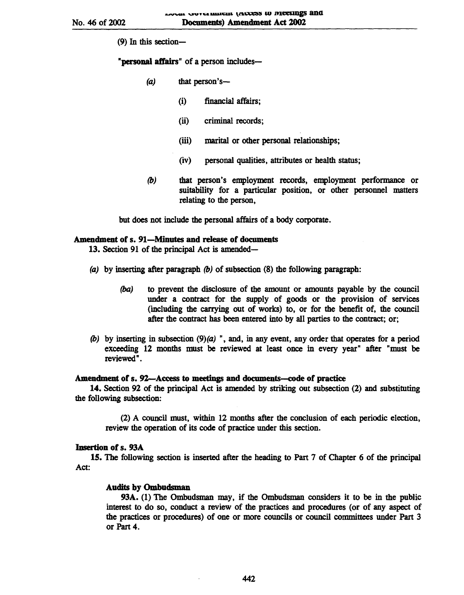(9) In this section-

"personal affairs" of a person includes-

- $(a)$  that person's--
	- (i) financial affairs;
	- (ii) criminal records;
	- (iii) marital or other personal relationships;
	- (iv) personal qualities, attributes or health status;
- *(b)* that person's employment records, employment perfonnance or suitability for a particular position, or other personnel matters relating to the person,

but does not include the personal affairs of a body corporate.

## Amendment of s. 91-Minutes and release of documents

13. Section 91 of the principal Act is amended-

- (a) by inserting after paragraph *(b)* of subsection (8) the following paragraph:
	- (ba) to prevent the disclosure of the amount or amounts payable by the council under a contract for the supply of goods or the provision of services (including the carrying out of works) to, or for the benefit of, the council after the contract has been entered into by all parties to the contract; or;
- *(b)* by inserting in subsection (9)(a) ", and, in any event, any order that operates for a period exceeding 12 months must be reviewed at least once in every year" after "must be revieWed".

#### Amendment of s. 92-Access to meetings and documents-code of practice

14. Section 92 of the principal Act is amended by striking out subsection (2) and substituting the following subsection:

(2) A council must, within 12 months after the conclusion of each periodic election, review the operation of its code of practice under this section.

#### Insertion of s. 93A

15. The following section is inserted after the heading to Part 7 of Chapter 6 of the principal Act:

#### Audits by Ombudsman

93A. (1) The Ombudsman may, if the Ombudsman considers it to be in the public interest to do so, conduct a review of the practices and procedures (or of any aspect of the practices or procedures) of one or more councils or council committees under Part 3 or Part 4.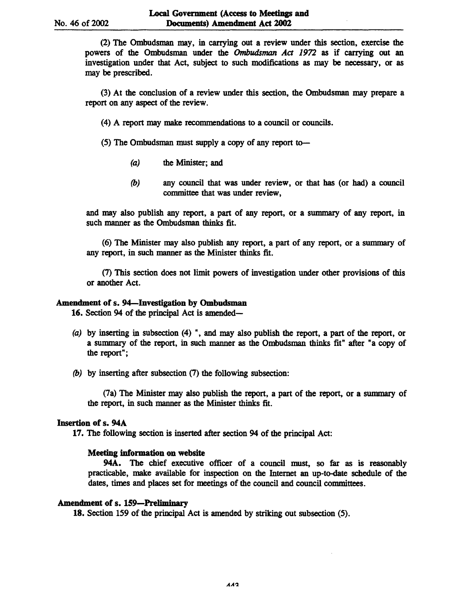(2) The Ombudsman may, in carrying out a review under this section, exercise the powers of the Ombudsman under the Ombudsman *Act* 1972 as if carrying out an investigation under that Act, subject to such modifications as may be necessary, or as may be prescribed.

(3) At the conclusion of a review under this section, the Ombudsman may prepare a report on any aspect of the review.

- (4) A report may make recommendations to a council or councils.
- $(5)$  The Ombudsman must supply a copy of any report to-
	- (a) the Minister; and
	- *(b)* any council that was under review, or that has (or had) a council committee that was under review,

and may also publish any report, a part of any report, or a summary of any report, in such manner as the Ombudsman thinks fit.

(6) The Minister may also publish any report, a part of any report, or a summary of any report, in such manner as the Minister thinks fit.

(7) This section does not limit powers of investigation under other provisions of this or another Act.

#### Amendment of s. 94-Investigation by Ombudsman

16. Section 94 of the principal Act is amended-

- (a) by inserting in subsection (4) ", and may also publish the report, a part of the report, or a summary of the report, in such manner as the Ombudsman thinks fit" after "a copy of the report";
- *(b)* by inserting after subsection (7) the following subsection:

(7a) The Minister may also publish the report, a part of the report, or a summary of the report, in such manner as the Minister thinks fit.

## Insertion of s. 94A

17. The following section is inserted after section 94 of the principal Act:

#### Meeting information on website

94A. The chief executive officer of a council must, so far as is reasonably practicable, make available for inspection on the Internet an up-to-date schedule of the dates, times and places set for meetings of the council and council committees.

### Amendment of s. 159-Preliminary

18. Section 159 of the principal Act is amended by striking out subsection (5).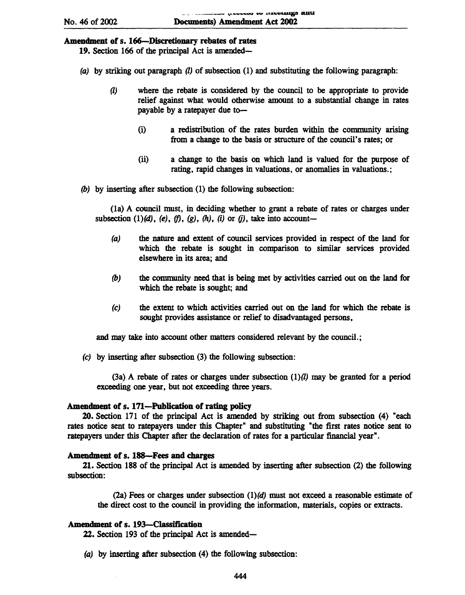## Amendment of s. 166-Discretionary rebates of rates

- 19. Section 166 of the principal Act is amended-
- (a) by striking out paragraph  $(l)$  of subsection (1) and substituting the following paragraph:
	- (l) where the rebate is considered by the council to be appropriate to provide relief against what would otherwise amount to a substantial change in rates payable by a ratepayer due to-
		- (i) a redistribution of the rates burden within the community arising from a change to the basis or structure of the council's rates; or
		- (ii) a change to the basis on which land is valued for the purpose of rating, rapid changes in valuations, or anomalies in valuations.;
- (b) by inserting after subsection (1) the following subsection:

(la) A council must, in deciding whether to grant a rebate of rates or charges under subsection  $(1)(d)$ ,  $(e)$ ,  $(f)$ ,  $(g)$ ,  $(h)$ ,  $(i)$  or  $(j)$ , take into account-

- (a) the nature and extent of council services provided in respect of the land for which the rebate is sought in comparison to similar services provided elsewhere in its area; and
- (b) the community need that is being met by activities carried out on the land for which the rebate is sought; and
- (c) the extent to which activities carried out on the land for which the rebate is sought provides assistance or relief to disadvantaged persons,

and may take into account other matters considered relevant by the council.;

(c) by inserting after subsection (3) the following subsection:

 $(3a)$  A rebate of rates or charges under subsection  $(1)(l)$  may be granted for a period exceeding one year, but not exceeding three years.

#### Amendment of s. 171-Publication of rating policy

20. Section 171 of the principal Act is amended by striking out from subsection (4) "each rates notice sent to ratepayers under this Chapter" and substituting "the first rates notice sent to ratepayers under this Chapter after the declaration of rates for a particular financial year".

#### Amendment of s. 188-Fees and charges

21. Section 188 of the principal Act is amended by inserting after subsection (2) the following subsection:

(2a) Fees or charges under subsection  $(1)(d)$  must not exceed a reasonable estimate of the direct cost to the council in providing the information, materials, copies or extracts.

#### Amendment of s. 193-Classification

22. Section 193 of the principal Act is amended-

(a) by inserting after subsection (4) the following subsection: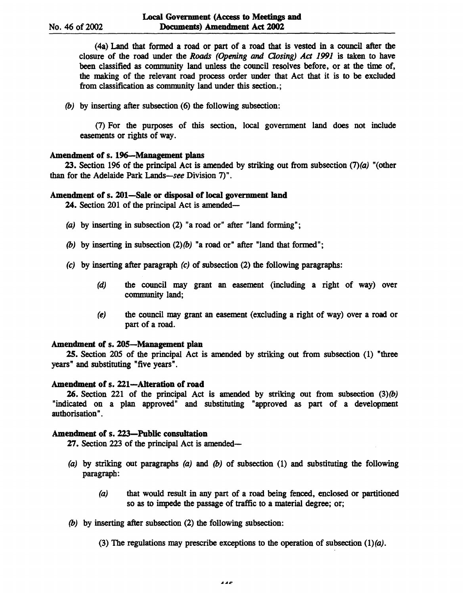(4a) Land that formed a road or part of a road that is vested in a council after the closure of the road under the *Roads* (Opening and Qosing) *Act* 1991 is taken to have been classified as community land unless the council resolves before, or at the time of, the making of the relevant road process order under that Act that it is to be excluded from classification as community land under this section.;

(b) by inserting after subsection (6) the following subsection:

(1) For the purposes of this section, local government land does not include easements or rights of way.

## Amendment of s. 196-Mauagement plans

23. Section 196 of the principal Act is amended by striking out from subsection  $(7)(a)$  "(other than for the Adelaide Park Lands-see Division 7)".

#### Amendment of s. 201-Sale or disposal of local government land

24. Section 201 of the principal Act is amended—

- (a) by inserting in subsection  $(2)$  "a road or" after "land forming";
- (b) by inserting in subsection  $(2)(b)$  "a road or" after "land that formed";
- (c) by inserting after paragraph (c) of subsection (2) the following paragraphs:
	- (d) the council may grant an easement (including a right of way) over community land;
	- (e) the council may grant an easement (excluding a right of way) over a road or part of a road.

### Amendment of s. 20S-Management plan

25. Section 205 of the principal Act is amended by striking out from subsection (1) "three years" and substituting "five years".

## Amendment of s. 221-Alteration of road

**26.** Section 221 of the principal Act is amended by striking out from subsection  $(3)(b)$ "indicated on a plan approved" and substituting "approved as part of a development authorisation" .

## Amendment of s. 223-Public consultation

27. Section 223 of the principal Act is amended-

- (a) by striking out paragraphs (a) and (b) of subsection (1) and substituting the following paragraph:
	- (a) that would result in any part of a road being fenced, enclosed or partitioned so as to impede the passage of traffic to a material degree; or;
- (b) by inserting after subsection (2) the following subsection:
	- (3) The regulations may prescribe exceptions to the operation of subsection  $(1)(a)$ .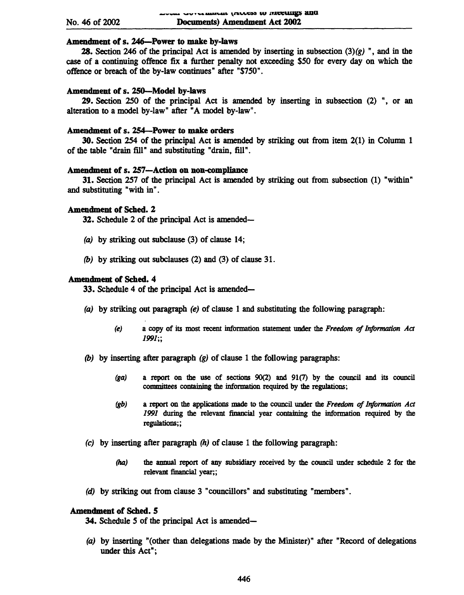## Amendment of s. 246-Power to make by-laws

**28.** Section 246 of the principal Act is amended by inserting in subsection  $(3)(g)$ ", and in the case of a continuing offence fix a further penalty not exceeding \$50 for every day on which the offence or breach of the by-law continues" after "\$750".

#### Amendment of s. 250-Model by-laws

29. Section 250 of the principal Act is amended by inserting in subsection (2) ", or an alteration to a model by-law" after "A model by-law".

## Amendment of s. 254-Power to make orders

30. Section 254 of the principal Act is amended by striking out from item 2(1) in Column 1 of the table "drain fill" and substituting "drain, fill".

## Amendment of s. 257-Action on non-compliance

31. Section 257 of the principal Act is amended by striking out from subsection (1) "within" and substituting "with in".

## Amendment of Sched. 2

32. Schedule 2 of the principal Act is amended-

- (a) by striking out subclause (3) of clause 14;
- *(b)* by striking out subclauses (2) and (3) of clause 31.

#### Amendment of Sched. 4

33. Schedule 4 of the principal Act is amended-

- (a) by striking out paragraph  $(e)$  of clause 1 and substituting the following paragraph:
	- *(e)* a copy of its most recent information statement under the *Freedom of Information Act*  1991;;
- *(b)* by inserting after paragraph (g) of clause 1 the following paragraphs:
	- $(ga)$  a report on the use of sections  $90(2)$  and  $91(7)$  by the council and its council committees containing the information required by the regulations;
	- *(gb)* a report on the applications made to the council under the *Freedom* of *Information Act*  1991 during the relevant financial year containing the information required by the regulations;;
- (c) by inserting after paragraph *(h)* of clause 1 the following paragraph:
	- *(ha)* the annual report of any subsidiary received by the council under schedule 2 for the relevant financial year;;
- (d) by striking out from clause 3 "councillors" and substituting "members".

#### Amendment of Sched. 5

34. Schedule 5 of the principal Act is amended-

(a) by inserting "(other than delegations made by the Minister)" after "Record of delegations under this Act";